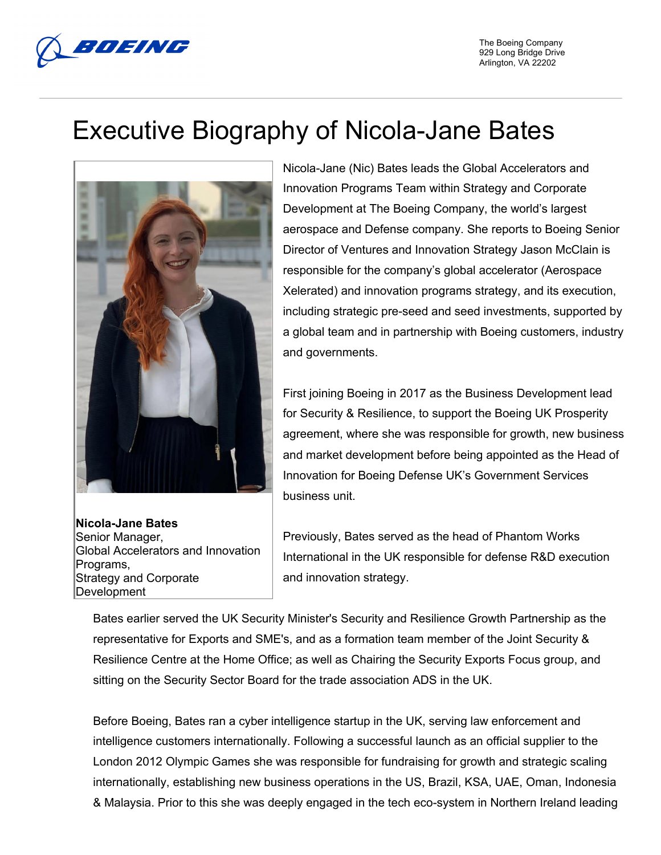

## Executive Biography of Nicola-Jane Bates



**Nicola-Jane Bates** Senior Manager, Global Accelerators and Innovation Programs, Strategy and Corporate Development

Nicola-Jane (Nic) Bates leads the Global Accelerators and Innovation Programs Team within Strategy and Corporate Development at The Boeing Company, the world's largest aerospace and Defense company. She reports to Boeing Senior Director of Ventures and Innovation Strategy Jason McClain is responsible for the company's global accelerator (Aerospace Xelerated) and innovation programs strategy, and its execution, including strategic pre-seed and seed investments, supported by a global team and in partnership with Boeing customers, industry and governments.

First joining Boeing in 2017 as the Business Development lead for Security & Resilience, to support the Boeing UK Prosperity agreement, where she was responsible for growth, new business and market development before being appointed as the Head of Innovation for Boeing Defense UK's Government Services business unit.

Previously, Bates served as the head of Phantom Works International in the UK responsible for defense R&D execution and innovation strategy.

Bates earlier served the UK Security Minister's Security and Resilience Growth Partnership as the representative for Exports and SME's, and as a formation team member of the Joint Security & Resilience Centre at the Home Office; as well as Chairing the Security Exports Focus group, and sitting on the Security Sector Board for the trade association ADS in the UK.

Before Boeing, Bates ran a cyber intelligence startup in the UK, serving law enforcement and intelligence customers internationally. Following a successful launch as an official supplier to the London 2012 Olympic Games she was responsible for fundraising for growth and strategic scaling internationally, establishing new business operations in the US, Brazil, KSA, UAE, Oman, Indonesia & Malaysia. Prior to this she was deeply engaged in the tech eco-system in Northern Ireland leading